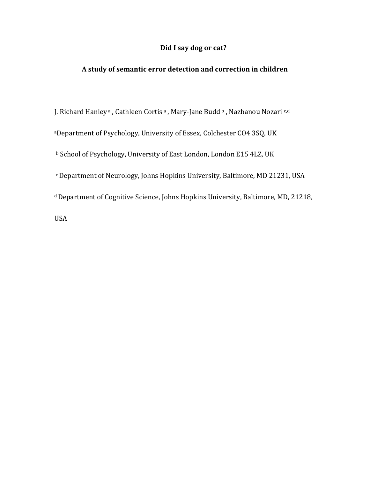## **Did I say dog or cat?**

## **A study of semantic error detection and correction in children**

J. Richard Hanley<sup>a</sup> , Cathleen Cortis<sup>a</sup> , Mary-Jane Budd b, Nazbanou Nozari <sup>c,d</sup> <sup>a</sup>Department of Psychology, University of Essex, Colchester CO4 3SQ, UK <sup>b</sup> School of Psychology, University of East London, London E15 4LZ, UK <sup>c</sup>Department of Neurology, Johns Hopkins University, Baltimore, MD 21231, USA <sup>d</sup> Department of Cognitive Science, Johns Hopkins University, Baltimore, MD, 21218, USA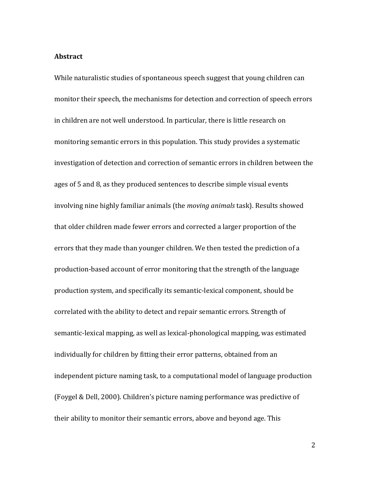#### **Abstract**

While naturalistic studies of spontaneous speech suggest that young children can monitor their speech, the mechanisms for detection and correction of speech errors in children are not well understood. In particular, there is little research on monitoring semantic errors in this population. This study provides a systematic investigation of detection and correction of semantic errors in children between the ages of 5 and 8, as they produced sentences to describe simple visual events involving nine highly familiar animals (the *moving animals* task). Results showed that older children made fewer errors and corrected a larger proportion of the errors that they made than younger children. We then tested the prediction of a production-based account of error monitoring that the strength of the language production system, and specifically its semantic-lexical component, should be correlated with the ability to detect and repair semantic errors. Strength of semantic-lexical mapping, as well as lexical-phonological mapping, was estimated individually for children by fitting their error patterns, obtained from an independent picture naming task, to a computational model of language production (Foygel & Dell, 2000). Children's picture naming performance was predictive of their ability to monitor their semantic errors, above and beyond age. This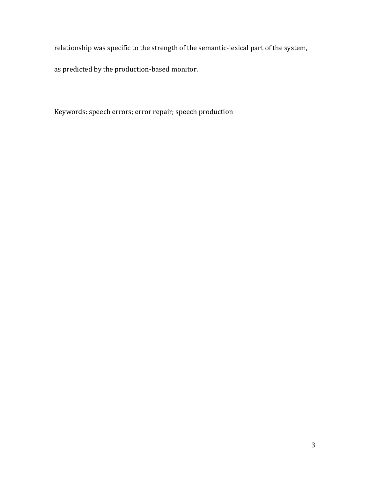relationship was specific to the strength of the semantic-lexical part of the system,

as predicted by the production-based monitor.

Keywords: speech errors; error repair; speech production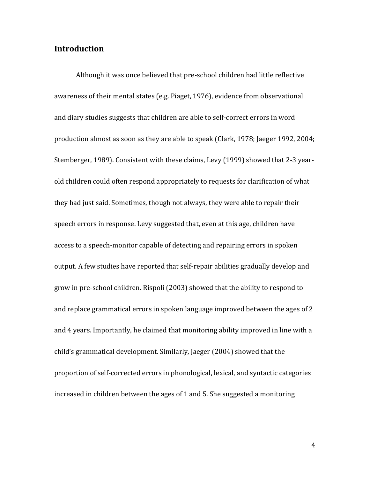# **Introduction**

Although it was once believed that pre-school children had little reflective awareness of their mental states (e.g. Piaget, 1976), evidence from observational and diary studies suggests that children are able to self-correct errors in word production almost as soon as they are able to speak (Clark, 1978; Jaeger 1992, 2004; Stemberger, 1989). Consistent with these claims, Levy (1999) showed that 2-3 yearold children could often respond appropriately to requests for clarification of what they had just said. Sometimes, though not always, they were able to repair their speech errors in response. Levy suggested that, even at this age, children have access to a speech-monitor capable of detecting and repairing errors in spoken output. A few studies have reported that self-repair abilities gradually develop and grow in pre-school children. Rispoli (2003) showed that the ability to respond to and replace grammatical errors in spoken language improved between the ages of 2 and 4 years. Importantly, he claimed that monitoring ability improved in line with a child's grammatical development. Similarly, Jaeger (2004) showed that the proportion of self-corrected errors in phonological, lexical, and syntactic categories increased in children between the ages of 1 and 5. She suggested a monitoring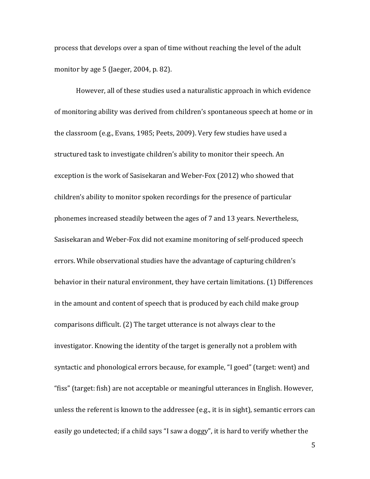process that develops over a span of time without reaching the level of the adult monitor by age 5 (Jaeger, 2004, p. 82).

However, all of these studies used a naturalistic approach in which evidence of monitoring ability was derived from children's spontaneous speech at home or in the classroom (e.g., Evans, 1985; Peets, 2009). Very few studies have used a structured task to investigate children's ability to monitor their speech. An exception is the work of Sasisekaran and Weber-Fox (2012) who showed that children's ability to monitor spoken recordings for the presence of particular phonemes increased steadily between the ages of 7 and 13 years. Nevertheless, Sasisekaran and Weber-Fox did not examine monitoring of self-produced speech errors. While observational studies have the advantage of capturing children's behavior in their natural environment, they have certain limitations. (1) Differences in the amount and content of speech that is produced by each child make group comparisons difficult. (2) The target utterance is not always clear to the investigator. Knowing the identity of the target is generally not a problem with syntactic and phonological errors because, for example, "I goed" (target: went) and "fiss" (target: fish) are not acceptable or meaningful utterances in English. However, unless the referent is known to the addressee (e.g., it is in sight), semantic errors can easily go undetected; if a child says "I saw a doggy", it is hard to verify whether the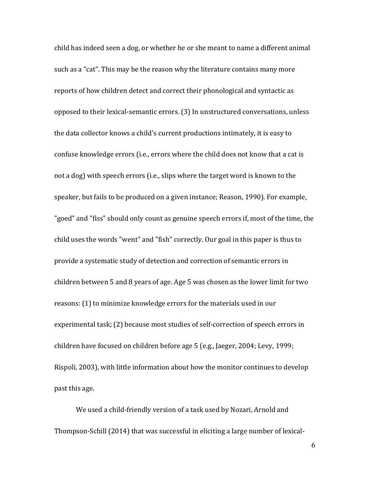child has indeed seen a dog, or whether he or she meant to name a different animal such as a "cat". This may be the reason why the literature contains many more reports of how children detect and correct their phonological and syntactic as opposed to their lexical-semantic errors. (3) In unstructured conversations, unless the data collector knows a child's current productions intimately, it is easy to confuse knowledge errors (i.e., errors where the child does not know that a cat is not a dog) with speech errors (i.e., slips where the target word is known to the speaker, but fails to be produced on a given instance; Reason, 1990). For example, "goed" and "fiss" should only count as genuine speech errors if, most of the time, the child uses the words "went" and "fish" correctly. Our goal in this paper is thus to provide a systematic study of detection and correction of semantic errors in children between 5 and 8 years of age. Age 5 was chosen as the lower limit for two reasons: (1) to minimize knowledge errors for the materials used in our experimental task; (2) because most studies of self-correction of speech errors in children have focused on children before age 5 (e.g., Jaeger, 2004; Levy, 1999; Rispoli, 2003), with little information about how the monitor continues to develop past this age.

We used a child-friendly version of a task used by Nozari, Arnold and Thompson-Schill (2014) that was successful in eliciting a large number of lexical-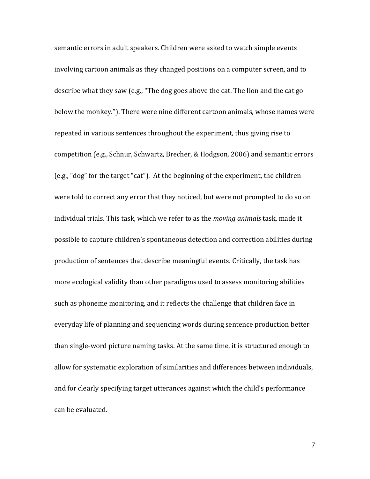semantic errors in adult speakers. Children were asked to watch simple events involving cartoon animals as they changed positions on a computer screen, and to describe what they saw (e.g., "The dog goes above the cat. The lion and the cat go below the monkey."). There were nine different cartoon animals, whose names were repeated in various sentences throughout the experiment, thus giving rise to competition (e.g., Schnur, Schwartz, Brecher, & Hodgson, 2006) and semantic errors (e.g., "dog" for the target "cat"). At the beginning of the experiment, the children were told to correct any error that they noticed, but were not prompted to do so on individual trials. This task, which we refer to as the *moving animals* task, made it possible to capture children's spontaneous detection and correction abilities during production of sentences that describe meaningful events. Critically, the task has more ecological validity than other paradigms used to assess monitoring abilities such as phoneme monitoring, and it reflects the challenge that children face in everyday life of planning and sequencing words during sentence production better than single-word picture naming tasks. At the same time, it is structured enough to allow for systematic exploration of similarities and differences between individuals, and for clearly specifying target utterances against which the child's performance can be evaluated.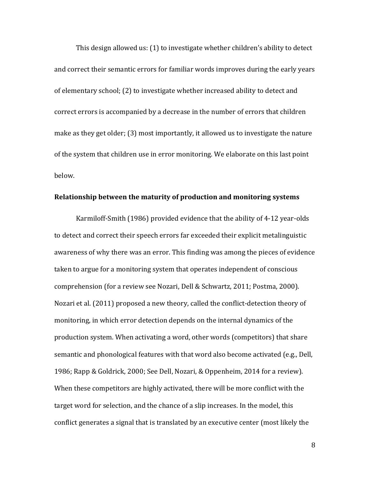This design allowed us: (1) to investigate whether children's ability to detect and correct their semantic errors for familiar words improves during the early years of elementary school; (2) to investigate whether increased ability to detect and correct errors is accompanied by a decrease in the number of errors that children make as they get older; (3) most importantly, it allowed us to investigate the nature of the system that children use in error monitoring. We elaborate on this last point below.

#### **Relationship between the maturity of production and monitoring systems**

Karmiloff-Smith (1986) provided evidence that the ability of 4-12 year-olds to detect and correct their speech errors far exceeded their explicit metalinguistic awareness of why there was an error. This finding was among the pieces of evidence taken to argue for a monitoring system that operates independent of conscious comprehension (for a review see Nozari, Dell & Schwartz, 2011; Postma, 2000). Nozari et al. (2011) proposed a new theory, called the conflict-detection theory of monitoring, in which error detection depends on the internal dynamics of the production system. When activating a word, other words (competitors) that share semantic and phonological features with that word also become activated (e.g., Dell, 1986; Rapp & Goldrick, 2000; See Dell, Nozari, & Oppenheim, 2014 for a review). When these competitors are highly activated, there will be more conflict with the target word for selection, and the chance of a slip increases. In the model, this conflict generates a signal that is translated by an executive center (most likely the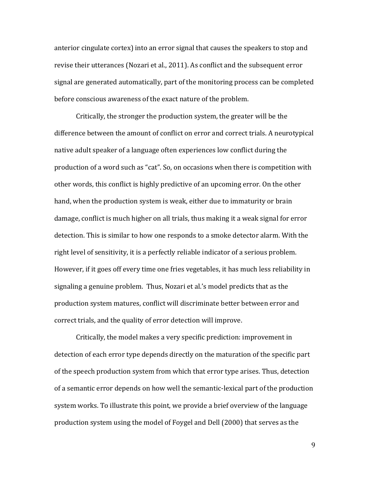anterior cingulate cortex) into an error signal that causes the speakers to stop and revise their utterances (Nozari et al., 2011). As conflict and the subsequent error signal are generated automatically, part of the monitoring process can be completed before conscious awareness of the exact nature of the problem.

Critically, the stronger the production system, the greater will be the difference between the amount of conflict on error and correct trials. A neurotypical native adult speaker of a language often experiences low conflict during the production of a word such as "cat". So, on occasions when there is competition with other words, this conflict is highly predictive of an upcoming error. On the other hand, when the production system is weak, either due to immaturity or brain damage, conflict is much higher on all trials, thus making it a weak signal for error detection. This is similar to how one responds to a smoke detector alarm. With the right level of sensitivity, it is a perfectly reliable indicator of a serious problem. However, if it goes off every time one fries vegetables, it has much less reliability in signaling a genuine problem. Thus, Nozari et al.'s model predicts that as the production system matures, conflict will discriminate better between error and correct trials, and the quality of error detection will improve.

Critically, the model makes a very specific prediction: improvement in detection of each error type depends directly on the maturation of the specific part of the speech production system from which that error type arises. Thus, detection of a semantic error depends on how well the semantic-lexical part of the production system works. To illustrate this point, we provide a brief overview of the language production system using the model of Foygel and Dell (2000) that serves as the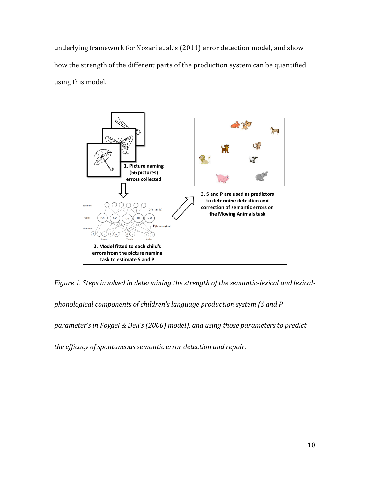underlying framework for Nozari et al.'s (2011) error detection model, and show how the strength of the different parts of the production system can be quantified using this model.



*Figure 1. Steps involved in determining the strength of the semantic-lexical and lexical-*

*phonological components of children's language production system (S and P* 

*parameter's in Foygel & Dell's (2000) model), and using those parameters to predict* 

*the efficacy of spontaneous semantic error detection and repair.*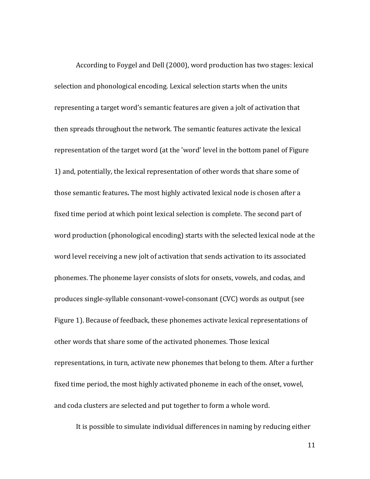According to Foygel and Dell (2000), word production has two stages: lexical selection and phonological encoding. Lexical selection starts when the units representing a target word's semantic features are given a jolt of activation that then spreads throughout the network*.* The semantic features activate the lexical representation of the target word (at the 'word' level in the bottom panel of Figure 1) and, potentially, the lexical representation of other words that share some of those semantic features*.* The most highly activated lexical node is chosen after a fixed time period at which point lexical selection is complete. The second part of word production (phonological encoding) starts with the selected lexical node at the word level receiving a new jolt of activation that sends activation to its associated phonemes. The phoneme layer consists of slots for onsets, vowels, and codas, and produces single-syllable consonant-vowel-consonant (CVC) words as output (see Figure 1). Because of feedback, these phonemes activate lexical representations of other words that share some of the activated phonemes. Those lexical representations, in turn, activate new phonemes that belong to them. After a further fixed time period, the most highly activated phoneme in each of the onset, vowel, and coda clusters are selected and put together to form a whole word.

It is possible to simulate individual differences in naming by reducing either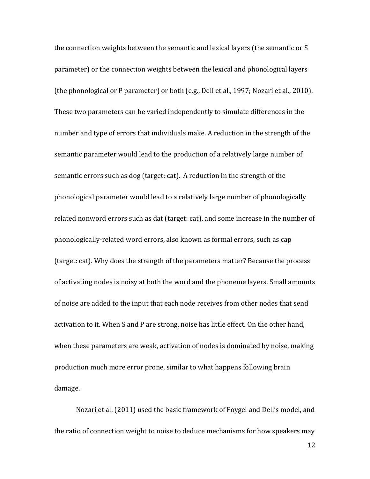the connection weights between the semantic and lexical layers (the semantic or S parameter) or the connection weights between the lexical and phonological layers (the phonological or P parameter) or both (e.g., Dell et al., 1997; Nozari et al., 2010). These two parameters can be varied independently to simulate differences in the number and type of errors that individuals make. A reduction in the strength of the semantic parameter would lead to the production of a relatively large number of semantic errors such as dog (target: cat). A reduction in the strength of the phonological parameter would lead to a relatively large number of phonologically related nonword errors such as dat (target: cat), and some increase in the number of phonologically-related word errors, also known as formal errors, such as cap (target: cat). Why does the strength of the parameters matter? Because the process of activating nodes is noisy at both the word and the phoneme layers. Small amounts of noise are added to the input that each node receives from other nodes that send activation to it. When S and P are strong, noise has little effect. On the other hand, when these parameters are weak, activation of nodes is dominated by noise, making production much more error prone, similar to what happens following brain damage.

Nozari et al. (2011) used the basic framework of Foygel and Dell's model, and the ratio of connection weight to noise to deduce mechanisms for how speakers may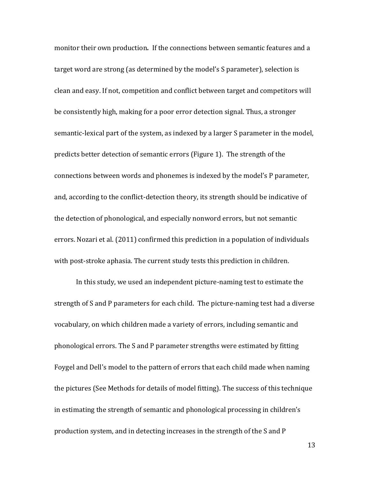monitor their own production*.* If the connections between semantic features and a target word are strong (as determined by the model's S parameter), selection is clean and easy. If not, competition and conflict between target and competitors will be consistently high, making for a poor error detection signal. Thus, a stronger semantic-lexical part of the system, as indexed by a larger S parameter in the model, predicts better detection of semantic errors (Figure 1). The strength of the connections between words and phonemes is indexed by the model's P parameter, and, according to the conflict-detection theory, its strength should be indicative of the detection of phonological, and especially nonword errors, but not semantic errors. Nozari et al. (2011) confirmed this prediction in a population of individuals with post-stroke aphasia. The current study tests this prediction in children.

In this study, we used an independent picture-naming test to estimate the strength of S and P parameters for each child. The picture-naming test had a diverse vocabulary, on which children made a variety of errors, including semantic and phonological errors. The S and P parameter strengths were estimated by fitting Foygel and Dell's model to the pattern of errors that each child made when naming the pictures (See Methods for details of model fitting). The success of this technique in estimating the strength of semantic and phonological processing in children's production system, and in detecting increases in the strength of the S and P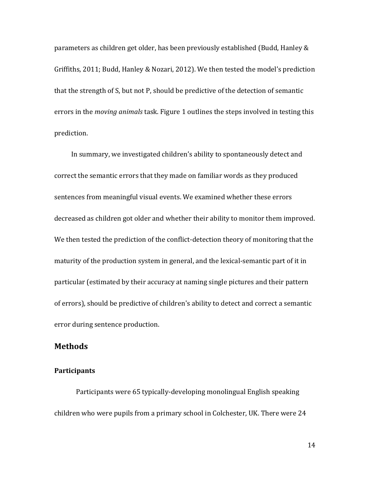parameters as children get older, has been previously established (Budd, Hanley & Griffiths, 2011; Budd, Hanley & Nozari, 2012). We then tested the model's prediction that the strength of S, but not P, should be predictive of the detection of semantic errors in the *moving animals* task. Figure 1 outlines the steps involved in testing this prediction.

In summary, we investigated children's ability to spontaneously detect and correct the semantic errors that they made on familiar words as they produced sentences from meaningful visual events. We examined whether these errors decreased as children got older and whether their ability to monitor them improved. We then tested the prediction of the conflict-detection theory of monitoring that the maturity of the production system in general, and the lexical-semantic part of it in particular (estimated by their accuracy at naming single pictures and their pattern of errors), should be predictive of children's ability to detect and correct a semantic error during sentence production.

### **Methods**

#### **Participants**

Participants were 65 typically-developing monolingual English speaking children who were pupils from a primary school in Colchester, UK. There were 24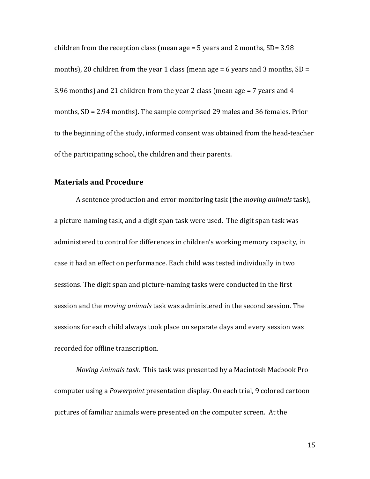children from the reception class (mean age  $=$  5 years and 2 months, SD= 3.98) months), 20 children from the year 1 class (mean age = 6 years and 3 months, SD = 3.96 months) and 21 children from the year 2 class (mean age = 7 years and 4 months, SD = 2.94 months). The sample comprised 29 males and 36 females. Prior to the beginning of the study, informed consent was obtained from the head-teacher of the participating school, the children and their parents.

## **Materials and Procedure**

A sentence production and error monitoring task (the *moving animals* task), a picture-naming task, and a digit span task were used. The digit span task was administered to control for differences in children's working memory capacity, in case it had an effect on performance. Each child was tested individually in two sessions. The digit span and picture-naming tasks were conducted in the first session and the *moving animals* task was administered in the second session. The sessions for each child always took place on separate days and every session was recorded for offline transcription.

*Moving Animals task.* This task was presented by a Macintosh Macbook Pro computer using a *Powerpoint* presentation display. On each trial, 9 colored cartoon pictures of familiar animals were presented on the computer screen. At the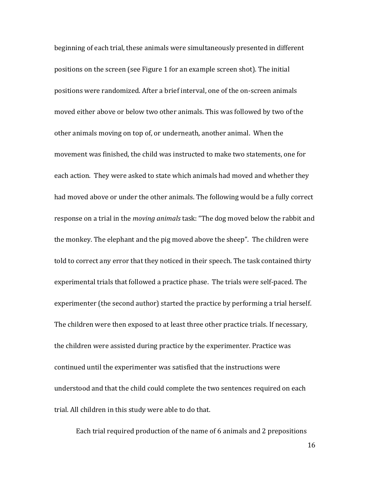beginning of each trial, these animals were simultaneously presented in different positions on the screen (see Figure 1 for an example screen shot). The initial positions were randomized. After a brief interval, one of the on-screen animals moved either above or below two other animals. This was followed by two of the other animals moving on top of, or underneath, another animal. When the movement was finished, the child was instructed to make two statements, one for each action. They were asked to state which animals had moved and whether they had moved above or under the other animals. The following would be a fully correct response on a trial in the *moving animals* task: "The dog moved below the rabbit and the monkey. The elephant and the pig moved above the sheep". The children were told to correct any error that they noticed in their speech. The task contained thirty experimental trials that followed a practice phase. The trials were self-paced. The experimenter (the second author) started the practice by performing a trial herself. The children were then exposed to at least three other practice trials. If necessary, the children were assisted during practice by the experimenter. Practice was continued until the experimenter was satisfied that the instructions were understood and that the child could complete the two sentences required on each trial. All children in this study were able to do that.

Each trial required production of the name of 6 animals and 2 prepositions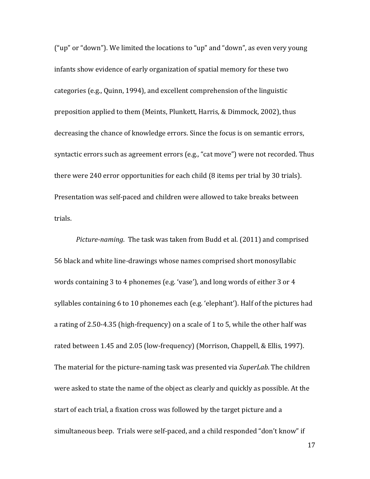("up" or "down"). We limited the locations to "up" and "down", as even very young infants show evidence of early organization of spatial memory for these two categories (e.g., Quinn, 1994), and excellent comprehension of the linguistic preposition applied to them (Meints, Plunkett, Harris, & Dimmock, 2002), thus decreasing the chance of knowledge errors. Since the focus is on semantic errors, syntactic errors such as agreement errors (e.g., "cat move") were not recorded. Thus there were 240 error opportunities for each child (8 items per trial by 30 trials). Presentation was self-paced and children were allowed to take breaks between trials.

*Picture-naming*. The task was taken from Budd et al. (2011) and comprised 56 black and white line-drawings whose names comprised short monosyllabic words containing 3 to 4 phonemes (e.g. 'vase'), and long words of either 3 or 4 syllables containing 6 to 10 phonemes each (e.g. 'elephant'). Half of the pictures had a rating of 2.50-4.35 (high-frequency) on a scale of 1 to 5, while the other half was rated between 1.45 and 2.05 (low-frequency) (Morrison, Chappell, & Ellis, 1997). The material for the picture-naming task was presented via *SuperLab*. The children were asked to state the name of the object as clearly and quickly as possible. At the start of each trial, a fixation cross was followed by the target picture and a simultaneous beep. Trials were self-paced, and a child responded "don't know" if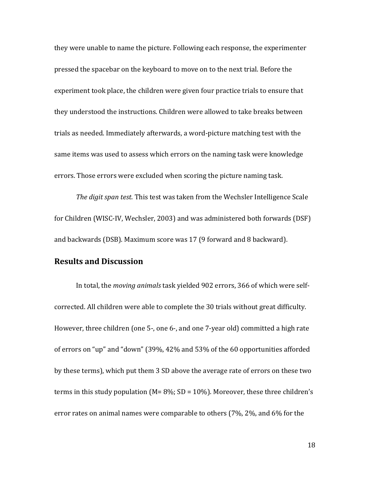they were unable to name the picture. Following each response, the experimenter pressed the spacebar on the keyboard to move on to the next trial. Before the experiment took place, the children were given four practice trials to ensure that they understood the instructions. Children were allowed to take breaks between trials as needed. Immediately afterwards, a word-picture matching test with the same items was used to assess which errors on the naming task were knowledge errors. Those errors were excluded when scoring the picture naming task.

*The digit span test.* This test was taken from the Wechsler Intelligence Scale for Children (WISC-IV, Wechsler, 2003) and was administered both forwards (DSF) and backwards (DSB). Maximum score was 17 (9 forward and 8 backward).

## **Results and Discussion**

In total, the *moving animals* task yielded 902 errors, 366 of which were selfcorrected. All children were able to complete the 30 trials without great difficulty. However, three children (one 5-, one 6-, and one 7-year old) committed a high rate of errors on "up" and "down" (39%, 42% and 53% of the 60 opportunities afforded by these terms), which put them 3 SD above the average rate of errors on these two terms in this study population ( $M = 8\%$ ; SD = 10%). Moreover, these three children's error rates on animal names were comparable to others (7%, 2%, and 6% for the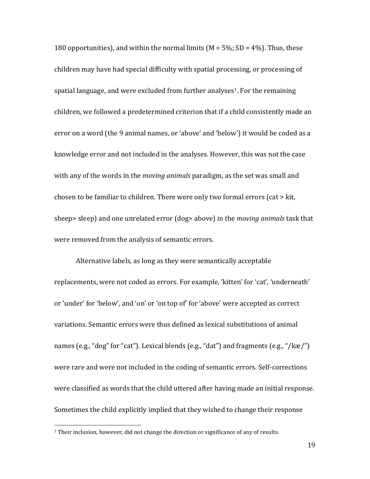180 opportunities), and within the normal limits ( $M = 5\%$ ; SD = 4%). Thus, these children may have had special difficulty with spatial processing, or processing of spatial language, and were excluded from further analyses<sup>1</sup>. For the remaining children, we followed a predetermined criterion that if a child consistently made an error on a word (the 9 animal names, or 'above' and 'below') it would be coded as a knowledge error and not included in the analyses. However, this was not the case with any of the words in the *moving animals* paradigm, as the set was small and chosen to be familiar to children. There were only two formal errors (cat > kit, sheep> sleep) and one unrelated error (dog> above) in the *moving animals* task that were removed from the analysis of semantic errors.

Alternative labels, as long as they were semantically acceptable replacements, were not coded as errors. For example, 'kitten' for 'cat', 'underneath' or 'under' for 'below', and 'on' or 'on top of' for 'above' were accepted as correct variations. Semantic errors were thus defined as lexical substitutions of animal names (e.g., "dog" for "cat"). Lexical blends (e.g., "dat") and fragments (e.g., "/kæ/") were rare and were not included in the coding of semantic errors. Self-corrections were classified as words that the child uttered after having made an initial response. Sometimes the child explicitly implied that they wished to change their response

l

<sup>&</sup>lt;sup>1</sup> Their inclusion, however, did not change the direction or significance of any of results.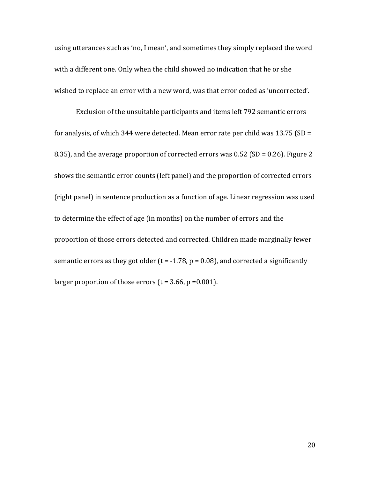using utterances such as 'no, I mean', and sometimes they simply replaced the word with a different one. Only when the child showed no indication that he or she wished to replace an error with a new word, was that error coded as 'uncorrected'.

Exclusion of the unsuitable participants and items left 792 semantic errors for analysis, of which 344 were detected. Mean error rate per child was 13.75 (SD = 8.35), and the average proportion of corrected errors was 0.52 (SD = 0.26). Figure 2 shows the semantic error counts (left panel) and the proportion of corrected errors (right panel) in sentence production as a function of age. Linear regression was used to determine the effect of age (in months) on the number of errors and the proportion of those errors detected and corrected. Children made marginally fewer semantic errors as they got older ( $t = -1.78$ ,  $p = 0.08$ ), and corrected a significantly larger proportion of those errors  $(t = 3.66, p = 0.001)$ .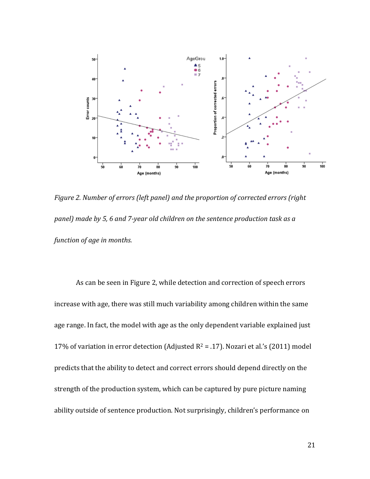

*Figure 2. Number of errors (left panel) and the proportion of corrected errors (right panel) made by 5, 6 and 7-year old children on the sentence production task as a function of age in months.*

As can be seen in Figure 2, while detection and correction of speech errors increase with age, there was still much variability among children within the same age range. In fact, the model with age as the only dependent variable explained just 17% of variation in error detection (Adjusted  $R^2 = .17$ ). Nozari et al.'s (2011) model predicts that the ability to detect and correct errors should depend directly on the strength of the production system, which can be captured by pure picture naming ability outside of sentence production. Not surprisingly, children's performance on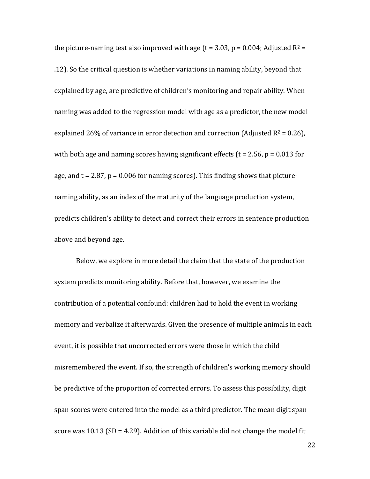the picture-naming test also improved with age (t = 3.03, p = 0.004; Adjusted  $R^2$  = .12). So the critical question is whether variations in naming ability, beyond that explained by age, are predictive of children's monitoring and repair ability. When naming was added to the regression model with age as a predictor, the new model explained 26% of variance in error detection and correction (Adjusted  $R^2 = 0.26$ ), with both age and naming scores having significant effects ( $t = 2.56$ ,  $p = 0.013$  for age, and  $t = 2.87$ ,  $p = 0.006$  for naming scores). This finding shows that picturenaming ability, as an index of the maturity of the language production system, predicts children's ability to detect and correct their errors in sentence production above and beyond age.

Below, we explore in more detail the claim that the state of the production system predicts monitoring ability. Before that, however, we examine the contribution of a potential confound: children had to hold the event in working memory and verbalize it afterwards. Given the presence of multiple animals in each event, it is possible that uncorrected errors were those in which the child misremembered the event. If so, the strength of children's working memory should be predictive of the proportion of corrected errors. To assess this possibility, digit span scores were entered into the model as a third predictor. The mean digit span score was  $10.13$  (SD = 4.29). Addition of this variable did not change the model fit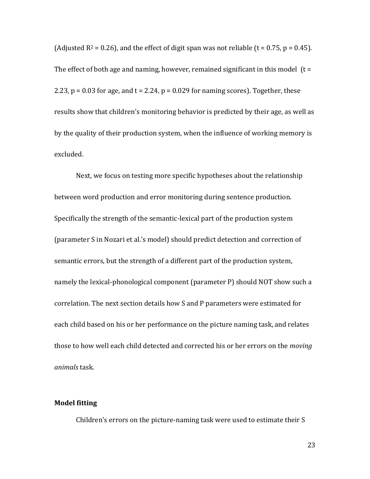(Adjusted  $R^2 = 0.26$ ), and the effect of digit span was not reliable (t = 0.75, p = 0.45). The effect of both age and naming, however, remained significant in this model  $(t =$ 2.23,  $p = 0.03$  for age, and  $t = 2.24$ ,  $p = 0.029$  for naming scores). Together, these results show that children's monitoring behavior is predicted by their age, as well as by the quality of their production system, when the influence of working memory is excluded.

Next, we focus on testing more specific hypotheses about the relationship between word production and error monitoring during sentence production. Specifically the strength of the semantic-lexical part of the production system (parameter S in Nozari et al.'s model) should predict detection and correction of semantic errors, but the strength of a different part of the production system, namely the lexical-phonological component (parameter P) should NOT show such a correlation. The next section details how S and P parameters were estimated for each child based on his or her performance on the picture naming task, and relates those to how well each child detected and corrected his or her errors on the *moving animals* task.

### **Model fitting**

Children's errors on the picture-naming task were used to estimate their S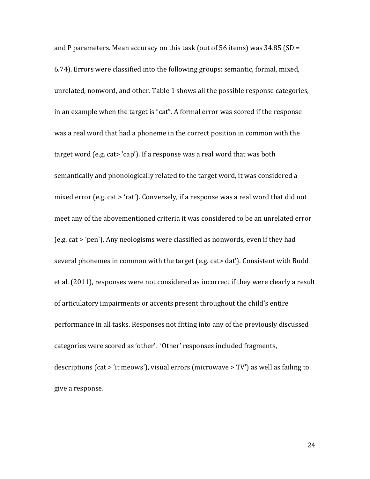and P parameters. Mean accuracy on this task (out of 56 items) was  $34.85$  (SD = 6.74). Errors were classified into the following groups: semantic, formal, mixed, unrelated, nonword, and other. Table 1 shows all the possible response categories, in an example when the target is "cat". A formal error was scored if the response was a real word that had a phoneme in the correct position in common with the target word (e.g. cat> 'cap'). If a response was a real word that was both semantically and phonologically related to the target word, it was considered a mixed error (e.g. cat > 'rat'). Conversely, if a response was a real word that did not meet any of the abovementioned criteria it was considered to be an unrelated error (e.g. cat > 'pen'). Any neologisms were classified as nonwords, even if they had several phonemes in common with the target (e.g. cat> dat'). Consistent with Budd et al. (2011), responses were not considered as incorrect if they were clearly a result of articulatory impairments or accents present throughout the child's entire performance in all tasks. Responses not fitting into any of the previously discussed categories were scored as 'other'. 'Other' responses included fragments, descriptions (cat > 'it meows'), visual errors (microwave > TV') as well as failing to give a response.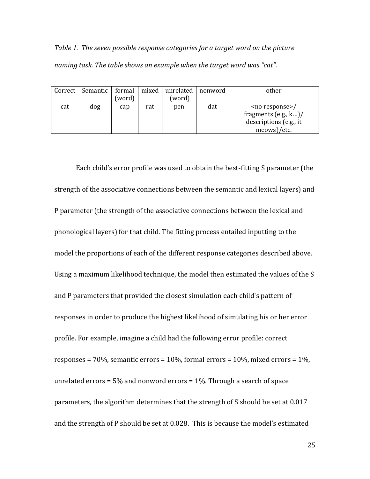*Table 1. The seven possible response categories for a target word on the picture naming task. The table shows an example when the target word was "cat".*

|     | Correct   Semantic   formal | (word) | mixed | unrelated<br>(word) | nonword | other                                                                                                  |
|-----|-----------------------------|--------|-------|---------------------|---------|--------------------------------------------------------------------------------------------------------|
| cat | dog                         | cap    | rat   | pen                 | dat     | <no response="">/<br/>fragments <math>(e.g., k)</math><br/>descriptions (e.g., it<br/>meows)/etc.</no> |

Each child's error profile was used to obtain the best-fitting S parameter (the strength of the associative connections between the semantic and lexical layers) and P parameter (the strength of the associative connections between the lexical and phonological layers) for that child. The fitting process entailed inputting to the model the proportions of each of the different response categories described above. Using a maximum likelihood technique, the model then estimated the values of the S and P parameters that provided the closest simulation each child's pattern of responses in order to produce the highest likelihood of simulating his or her error profile. For example, imagine a child had the following error profile: correct responses = 70%, semantic errors =  $10\%$ , formal errors =  $10\%$ , mixed errors =  $1\%$ , unrelated errors = 5% and nonword errors = 1%. Through a search of space parameters, the algorithm determines that the strength of S should be set at 0.017 and the strength of P should be set at 0.028. This is because the model's estimated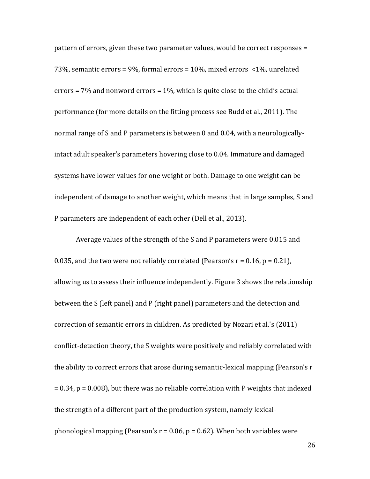pattern of errors, given these two parameter values, would be correct responses = 73%, semantic errors = 9%, formal errors = 10%, mixed errors <1%, unrelated errors = 7% and nonword errors = 1%, which is quite close to the child's actual performance (for more details on the fitting process see Budd et al., 2011). The normal range of S and P parameters is between 0 and 0.04, with a neurologicallyintact adult speaker's parameters hovering close to 0.04. Immature and damaged systems have lower values for one weight or both. Damage to one weight can be independent of damage to another weight, which means that in large samples, S and P parameters are independent of each other (Dell et al., 2013).

Average values of the strength of the S and P parameters were 0.015 and 0.035, and the two were not reliably correlated (Pearson's  $r = 0.16$ ,  $p = 0.21$ ), allowing us to assess their influence independently. Figure 3 shows the relationship between the S (left panel) and P (right panel) parameters and the detection and correction of semantic errors in children. As predicted by Nozari et al.'s (2011) conflict-detection theory, the S weights were positively and reliably correlated with the ability to correct errors that arose during semantic-lexical mapping (Pearson's r = 0.34, p = 0.008), but there was no reliable correlation with P weights that indexed the strength of a different part of the production system, namely lexicalphonological mapping (Pearson's  $r = 0.06$ ,  $p = 0.62$ ). When both variables were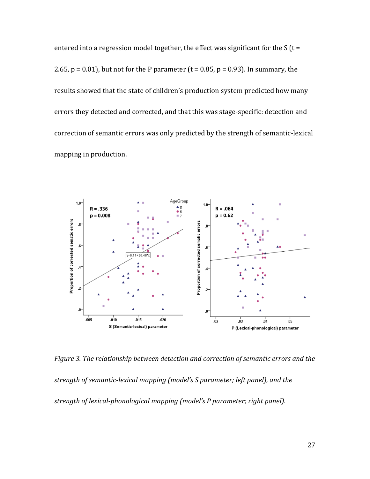entered into a regression model together, the effect was significant for the  $S$  (t = 2.65,  $p = 0.01$ ), but not for the P parameter (t = 0.85,  $p = 0.93$ ). In summary, the results showed that the state of children's production system predicted how many errors they detected and corrected, and that this was stage-specific: detection and correction of semantic errors was only predicted by the strength of semantic-lexical mapping in production.



*Figure 3. The relationship between detection and correction of semantic errors and the strength of semantic-lexical mapping (model's S parameter; left panel), and the strength of lexical-phonological mapping (model's P parameter; right panel).*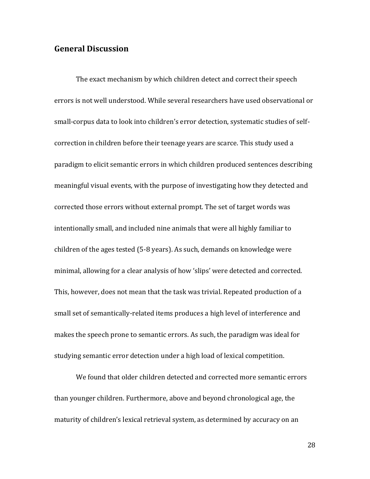## **General Discussion**

The exact mechanism by which children detect and correct their speech errors is not well understood. While several researchers have used observational or small-corpus data to look into children's error detection, systematic studies of selfcorrection in children before their teenage years are scarce. This study used a paradigm to elicit semantic errors in which children produced sentences describing meaningful visual events, with the purpose of investigating how they detected and corrected those errors without external prompt. The set of target words was intentionally small, and included nine animals that were all highly familiar to children of the ages tested (5-8 years). As such, demands on knowledge were minimal, allowing for a clear analysis of how 'slips' were detected and corrected. This, however, does not mean that the task was trivial. Repeated production of a small set of semantically-related items produces a high level of interference and makes the speech prone to semantic errors. As such, the paradigm was ideal for studying semantic error detection under a high load of lexical competition.

We found that older children detected and corrected more semantic errors than younger children. Furthermore, above and beyond chronological age, the maturity of children's lexical retrieval system, as determined by accuracy on an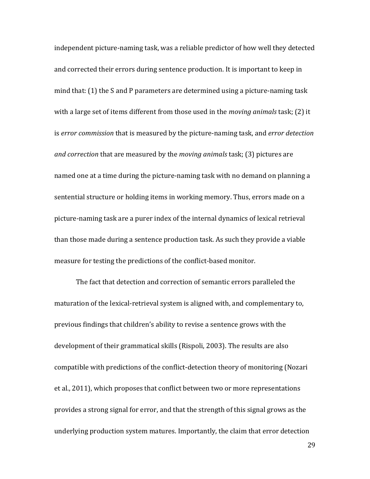independent picture-naming task, was a reliable predictor of how well they detected and corrected their errors during sentence production. It is important to keep in mind that: (1) the S and P parameters are determined using a picture-naming task with a large set of items different from those used in the *moving animals* task; (2) it is *error commission* that is measured by the picture-naming task, and *error detection and correction* that are measured by the *moving animals* task; (3) pictures are named one at a time during the picture-naming task with no demand on planning a sentential structure or holding items in working memory. Thus, errors made on a picture-naming task are a purer index of the internal dynamics of lexical retrieval than those made during a sentence production task. As such they provide a viable measure for testing the predictions of the conflict-based monitor.

The fact that detection and correction of semantic errors paralleled the maturation of the lexical-retrieval system is aligned with, and complementary to, previous findings that children's ability to revise a sentence grows with the development of their grammatical skills (Rispoli, 2003). The results are also compatible with predictions of the conflict-detection theory of monitoring (Nozari et al., 2011), which proposes that conflict between two or more representations provides a strong signal for error, and that the strength of this signal grows as the underlying production system matures. Importantly, the claim that error detection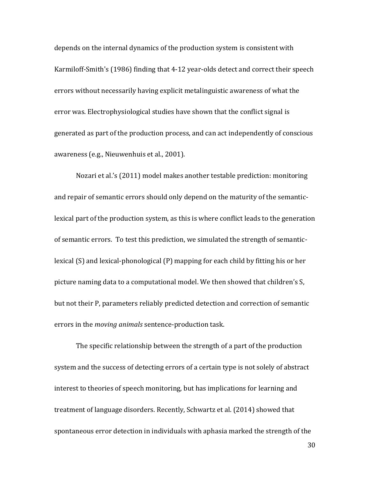depends on the internal dynamics of the production system is consistent with Karmiloff-Smith's (1986) finding that 4-12 year-olds detect and correct their speech errors without necessarily having explicit metalinguistic awareness of what the error was. Electrophysiological studies have shown that the conflict signal is generated as part of the production process, and can act independently of conscious awareness (e.g., Nieuwenhuis et al., 2001).

Nozari et al.'s (2011) model makes another testable prediction: monitoring and repair of semantic errors should only depend on the maturity of the semanticlexical part of the production system, as this is where conflict leads to the generation of semantic errors. To test this prediction, we simulated the strength of semanticlexical (S) and lexical-phonological (P) mapping for each child by fitting his or her picture naming data to a computational model. We then showed that children's S, but not their P, parameters reliably predicted detection and correction of semantic errors in the *moving animals* sentence-production task.

The specific relationship between the strength of a part of the production system and the success of detecting errors of a certain type is not solely of abstract interest to theories of speech monitoring, but has implications for learning and treatment of language disorders. Recently, Schwartz et al. (2014) showed that spontaneous error detection in individuals with aphasia marked the strength of the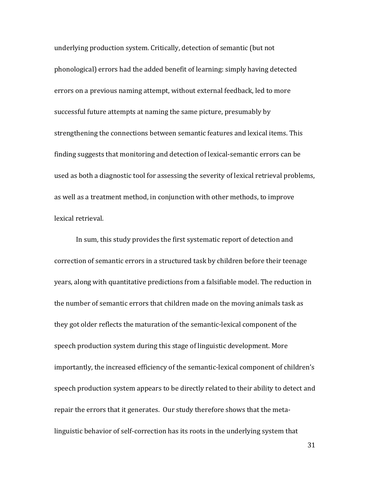underlying production system. Critically, detection of semantic (but not phonological) errors had the added benefit of learning: simply having detected errors on a previous naming attempt, without external feedback, led to more successful future attempts at naming the same picture, presumably by strengthening the connections between semantic features and lexical items. This finding suggests that monitoring and detection of lexical-semantic errors can be used as both a diagnostic tool for assessing the severity of lexical retrieval problems, as well as a treatment method, in conjunction with other methods, to improve lexical retrieval.

In sum, this study provides the first systematic report of detection and correction of semantic errors in a structured task by children before their teenage years, along with quantitative predictions from a falsifiable model. The reduction in the number of semantic errors that children made on the moving animals task as they got older reflects the maturation of the semantic-lexical component of the speech production system during this stage of linguistic development. More importantly, the increased efficiency of the semantic-lexical component of children's speech production system appears to be directly related to their ability to detect and repair the errors that it generates. Our study therefore shows that the metalinguistic behavior of self-correction has its roots in the underlying system that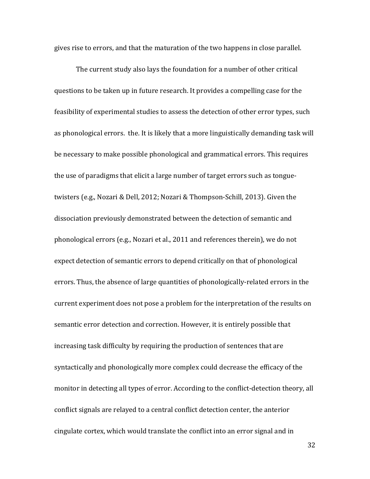gives rise to errors, and that the maturation of the two happens in close parallel.

The current study also lays the foundation for a number of other critical questions to be taken up in future research. It provides a compelling case for the feasibility of experimental studies to assess the detection of other error types, such as phonological errors. the. It is likely that a more linguistically demanding task will be necessary to make possible phonological and grammatical errors. This requires the use of paradigms that elicit a large number of target errors such as tonguetwisters (e.g., Nozari & Dell, 2012; Nozari & Thompson-Schill, 2013). Given the dissociation previously demonstrated between the detection of semantic and phonological errors (e.g., Nozari et al., 2011 and references therein), we do not expect detection of semantic errors to depend critically on that of phonological errors. Thus, the absence of large quantities of phonologically-related errors in the current experiment does not pose a problem for the interpretation of the results on semantic error detection and correction. However, it is entirely possible that increasing task difficulty by requiring the production of sentences that are syntactically and phonologically more complex could decrease the efficacy of the monitor in detecting all types of error. According to the conflict-detection theory, all conflict signals are relayed to a central conflict detection center, the anterior cingulate cortex, which would translate the conflict into an error signal and in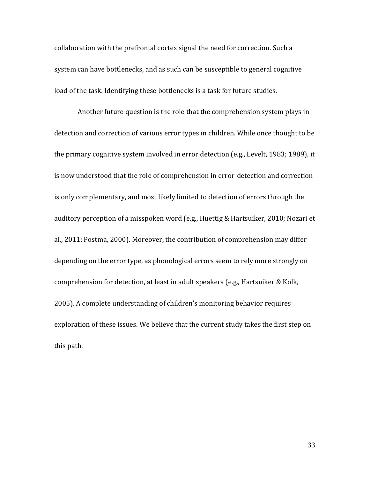collaboration with the prefrontal cortex signal the need for correction. Such a system can have bottlenecks, and as such can be susceptible to general cognitive load of the task. Identifying these bottlenecks is a task for future studies.

Another future question is the role that the comprehension system plays in detection and correction of various error types in children. While once thought to be the primary cognitive system involved in error detection (e.g., Levelt, 1983; 1989), it is now understood that the role of comprehension in error-detection and correction is only complementary, and most likely limited to detection of errors through the auditory perception of a misspoken word (e.g., Huettig & Hartsuiker, 2010; Nozari et al., 2011; Postma, 2000). Moreover, the contribution of comprehension may differ depending on the error type, as phonological errors seem to rely more strongly on comprehension for detection, at least in adult speakers (e.g., Hartsuiker & Kolk, 2005). A complete understanding of children's monitoring behavior requires exploration of these issues. We believe that the current study takes the first step on this path.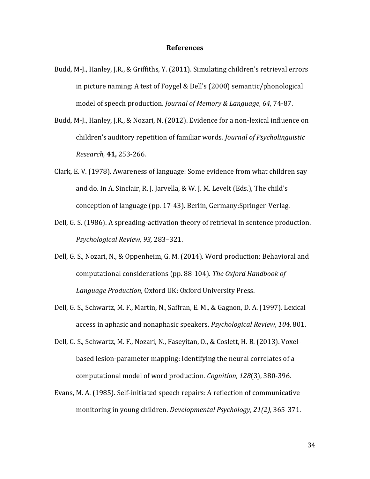#### **References**

- Budd, M-J., Hanley, J.R., & Griffiths, Y. (2011). Simulating children's retrieval errors in picture naming: A test of Foygel & Dell's (2000) semantic/phonological model of speech production. *Journal of Memory & Language, 64*, 74-87.
- Budd, M-J., Hanley, J.R., & Nozari, N. (2012). Evidence for a non-lexical influence on children's auditory repetition of familiar words. *Journal of Psycholinguistic Research,* **41,** 253-266.
- Clark, E. V. (1978). Awareness of language: Some evidence from what children say and do. In A. Sinclair, R. J. Jarvella, & W. J. M. Levelt (Eds.), The child's conception of language (pp. 17-43). Berlin, Germany:Springer-Verlag.
- Dell, G. S. (1986). A spreading-activation theory of retrieval in sentence production. *Psychological Review, 93,* 283–321.
- Dell, G. S., Nozari, N., & Oppenheim, G. M. (2014). Word production: Behavioral and computational considerations (pp. 88-104). *The Oxford Handbook of Language Production*, Oxford UK: Oxford University Press.
- Dell, G. S., Schwartz, M. F., Martin, N., Saffran, E. M., & Gagnon, D. A. (1997). Lexical access in aphasic and nonaphasic speakers. *Psychological Review*, *104*, 801.
- Dell, G. S., Schwartz, M. F., Nozari, N., Faseyitan, O., & Coslett, H. B. (2013). Voxelbased lesion-parameter mapping: Identifying the neural correlates of a computational model of word production. *Cognition*, *128*(3), 380-396.
- Evans, M. A. (1985). Self-initiated speech repairs: A reflection of communicative monitoring in young children. *Developmental Psychology*, *21(2),* 365-371.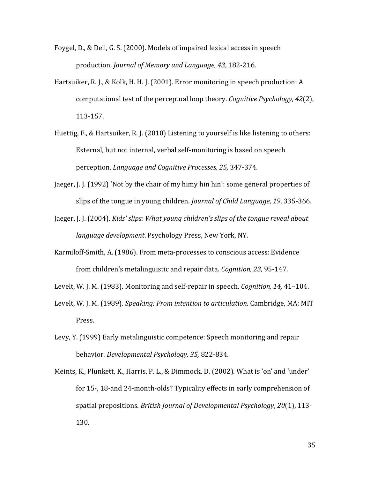Foygel, D., & Dell, G. S. (2000). Models of impaired lexical access in speech production. *Journal of Memory and Language, 43*, 182-216.

- Hartsuiker, R. J., & Kolk, H. H. J. (2001). Error monitoring in speech production: A computational test of the perceptual loop theory. *Cognitive Psychology, 42*(2), 113-157.
- Huettig, F., & Hartsuiker, R. J. (2010) Listening to yourself is like listening to others: External, but not internal, verbal self-monitoring is based on speech perception. *Language and Cognitive Processes, 25,* 347-374.
- Jaeger, J. J. (1992) 'Not by the chair of my himy hin hin': some general properties of slips of the tongue in young children. *Journal of Child Language, 19*, 335-366.
- Jaeger, J. J. (2004). *Kids' slips: What young children's slips of the tongue reveal about language development*. Psychology Press, New York, NY.
- Karmiloff-Smith, A. (1986). From meta-processes to conscious access: Evidence from children's metalinguistic and repair data. *Cognition, 23*, 95-147.
- Levelt, W. J. M. (1983). Monitoring and self-repair in speech. *Cognition, 14,* 41–104.
- Levelt, W. J. M. (1989). *Speaking: From intention to articulation*. Cambridge, MA: MIT Press.
- Levy, Y. (1999) Early metalinguistic competence: Speech monitoring and repair behavior. *Developmental Psychology, 35,* 822-834.
- Meints, K., Plunkett, K., Harris, P. L., & Dimmock, D. (2002). What is 'on' and 'under' for 15‐, 18‐and 24‐month‐olds? Typicality effects in early comprehension of spatial prepositions. *British Journal of Developmental Psychology*, *20*(1), 113- 130.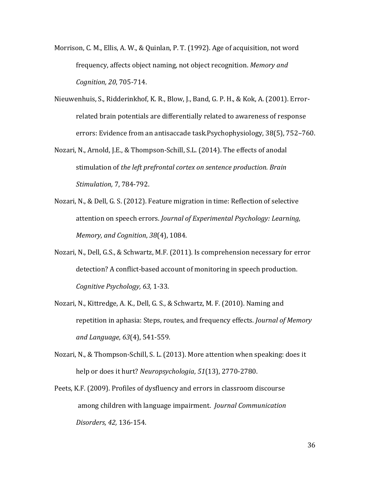- Morrison, C. M., Ellis, A. W., & Quinlan, P. T. (1992). Age of acquisition, not word frequency, affects object naming, not object recognition. *Memory and Cognition, 20*, 705-714.
- Nieuwenhuis, S., Ridderinkhof, K. R., Blow, J., Band, G. P. H., & Kok, A. (2001). Errorrelated brain potentials are differentially related to awareness of response errors: Evidence from an antisaccade task.Psychophysiology, 38(5), 752–760.
- Nozari, N., Arnold, J.E., & Thompson-Schill, S.L. (2014). The effects of anodal stimulation of *the left prefrontal cortex on sentence production. Brain Stimulation,* 7, 784-792.
- Nozari, N., & Dell, G. S. (2012). Feature migration in time: Reflection of selective attention on speech errors. *Journal of Experimental Psychology: Learning, Memory, and Cognition*, *38*(4), 1084.
- Nozari, N., Dell, G.S., & Schwartz, M.F. (2011). Is comprehension necessary for error detection? A conflict-based account of monitoring in speech production. *Cognitive Psychology, 63,* 1-33.
- Nozari, N., Kittredge, A. K., Dell, G. S., & Schwartz, M. F. (2010). Naming and repetition in aphasia: Steps, routes, and frequency effects. *Journal of Memory and Language*, *63*(4), 541-559.
- Nozari, N., & Thompson-Schill, S. L. (2013). More attention when speaking: does it help or does it hurt? *Neuropsychologia*, *51*(13), 2770-2780.
- Peets, K.F. (2009). Profiles of dysfluency and errors in classroom discourse among children with language impairment. *Journal Communication Disorders, 42,* 136-154.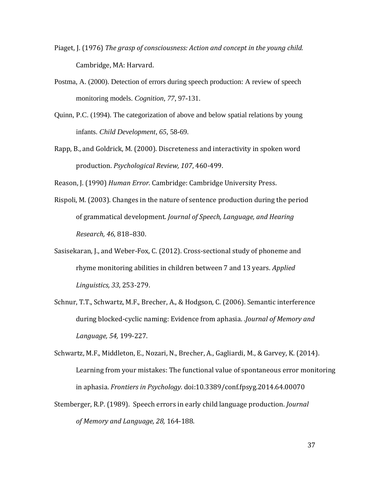- Piaget, J. (1976) *The grasp of consciousness: Action and concept in the young child.* Cambridge, MA: Harvard.
- Postma, A. (2000). Detection of errors during speech production: A review of speech monitoring models. *Cognition, 77*, 97-131.
- Quinn, P.C. (1994). The categorization of above and below spatial relations by young infants. *Child Development*, *65*, 58-69.
- Rapp, B., and Goldrick, M. (2000). Discreteness and interactivity in spoken word production. *Psychological Review, 107*, 460-499.

Reason, J. (1990) *Human Error.* Cambridge: Cambridge University Press.

- Rispoli, M. (2003). Changes in the nature of sentence production during the period of grammatical development. *Journal of Speech, Language, and Hearing Research, 46*, 818–830.
- Sasisekaran, J., and Weber-Fox, C. (2012). Cross-sectional study of phoneme and rhyme monitoring abilities in children between 7 and 13 years. *Applied Linguistics, 33*, 253-279.
- Schnur, T.T., Schwartz, M.F., Brecher, A., & Hodgson, C. (2006). Semantic interference during blocked-cyclic naming: Evidence from aphasia. .*Journal of Memory and Language, 54,* 199-227.
- Schwartz, M.F., Middleton, E., Nozari, N., Brecher, A., Gagliardi, M., & Garvey, K. (2014). Learning from your mistakes: The functional value of spontaneous error monitoring in aphasia. *Frontiers in Psychology.* doi:10.3389/conf.fpsyg.2014.64.00070
- Stemberger, R.P. (1989). Speech errors in early child language production. *Journal of Memory and Language, 28,* 164-188.